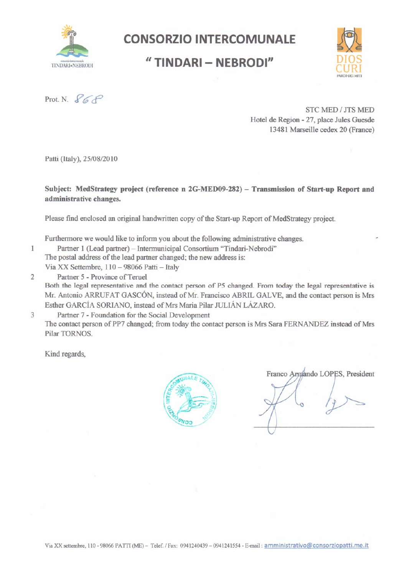

# **CONSORZIO INTERCOMUNALE**

## "TINDARI - NEBRODI"



Prot. N.  $868$ 

**STC MED / JTS MED** Hotel de Region - 27, place Jules Guesde 13481 Marseille cedex 20 (France)

Patti (Italy), 25/08/2010

Subject: MedStrategy project (reference n 2G-MED09-282) - Transmission of Start-up Report and administrative changes.

Please find enclosed an original handwritten copy of the Start-up Report of MedStrategy project.

Furthermore we would like to inform you about the following administrative changes.

- Partner 1 (Lead partner) Intermunicipal Consortium "Tindari-Nebrodi"
- The postal address of the lead partner changed; the new address is:

Via XX Settembre, 110 - 98066 Patti - Italy

 $\overline{2}$ Partner 5 - Province of Teruel

Both the legal representative and the contact person of P5 changed. From today the legal representative is Mr. Antonio ARRUFAT GASCÓN, instead of Mr. Francisco ABRIL GALVE, and the contact person is Mrs Esther GARCÍA SORIANO, instead of Mrs Maria Pilar JULIÁN LÁZARO.

3 Partner 7 - Foundation for the Social Development The contact person of PP7 changed; from today the contact person is Mrs Sara FERNANDEZ instead of Mrs Pilar TORNOS.

Kind regards,

1



Franco Armando LOPES, President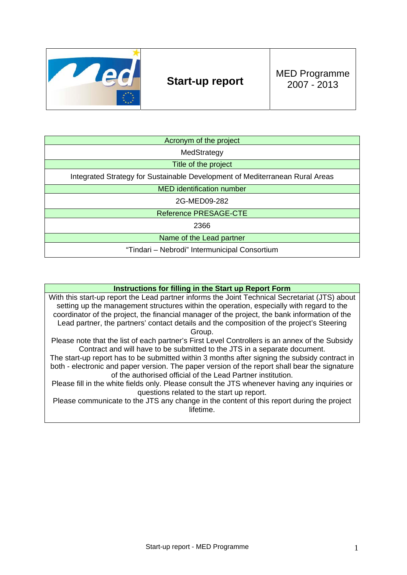

## **Start-up report** MED Programme 2007 - 2013

| Acronym of the project                                                       |
|------------------------------------------------------------------------------|
| MedStrategy                                                                  |
| Title of the project                                                         |
| Integrated Strategy for Sustainable Development of Mediterranean Rural Areas |
| <b>MED</b> identification number                                             |
| 2G-MED09-282                                                                 |
| <b>Reference PRESAGE-CTE</b>                                                 |
| 2366                                                                         |
| Name of the Lead partner                                                     |
| "Tindari – Nebrodi" Intermunicipal Consortium                                |

#### **Instructions for filling in the Start up Report Form**

With this start-up report the Lead partner informs the Joint Technical Secretariat (JTS) about setting up the management structures within the operation, especially with regard to the coordinator of the project, the financial manager of the project, the bank information of the Lead partner, the partners' contact details and the composition of the project's Steering Group.

Please note that the list of each partner's First Level Controllers is an annex of the Subsidy Contract and will have to be submitted to the JTS in a separate document.

The start-up report has to be submitted within 3 months after signing the subsidy contract in both - electronic and paper version. The paper version of the report shall bear the signature of the authorised official of the Lead Partner institution.

Please fill in the white fields only. Please consult the JTS whenever having any inquiries or questions related to the start up report.

Please communicate to the JTS any change in the content of this report during the project lifetime.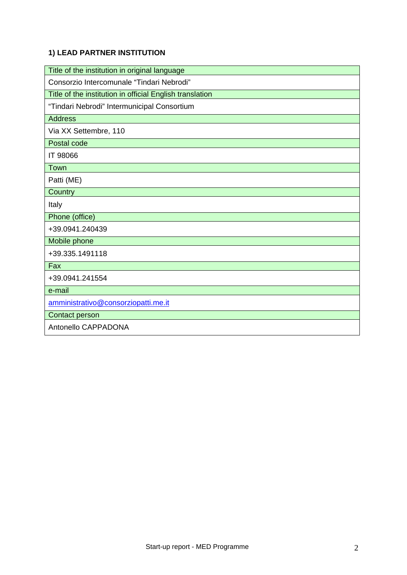### **1) LEAD PARTNER INSTITUTION**

| Title of the institution in original language            |
|----------------------------------------------------------|
| Consorzio Intercomunale "Tindari Nebrodi"                |
| Title of the institution in official English translation |
| "Tindari Nebrodi" Intermunicipal Consortium              |
| <b>Address</b>                                           |
| Via XX Settembre, 110                                    |
| Postal code                                              |
| IT 98066                                                 |
| Town                                                     |
| Patti (ME)                                               |
| Country                                                  |
| Italy                                                    |
| Phone (office)                                           |
| +39.0941.240439                                          |
| Mobile phone                                             |
| +39.335.1491118                                          |
| Fax                                                      |
| +39.0941.241554                                          |
| e-mail                                                   |
| amministrativo@consorziopatti.me.it                      |
| <b>Contact person</b>                                    |
| Antonello CAPPADONA                                      |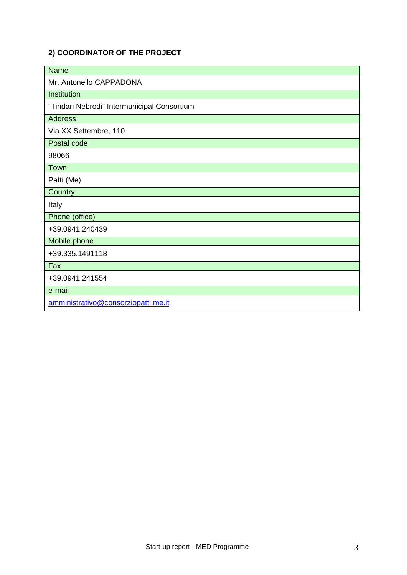#### **2) COORDINATOR OF THE PROJECT**

| <b>Name</b>                                 |
|---------------------------------------------|
| Mr. Antonello CAPPADONA                     |
| Institution                                 |
| "Tindari Nebrodi" Intermunicipal Consortium |
| <b>Address</b>                              |
| Via XX Settembre, 110                       |
| Postal code                                 |
| 98066                                       |
| Town                                        |
| Patti (Me)                                  |
| Country                                     |
| Italy                                       |
| Phone (office)                              |
| +39.0941.240439                             |
| Mobile phone                                |
| +39.335.1491118                             |
| Fax                                         |
| +39.0941.241554                             |
| e-mail                                      |
| amministrativo@consorziopatti.me.it         |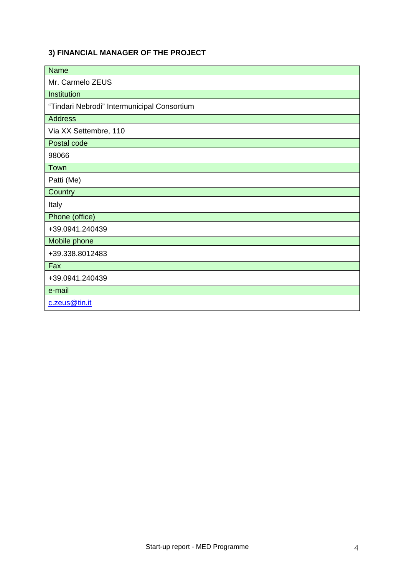#### **3) FINANCIAL MANAGER OF THE PROJECT**

| <b>Name</b>                                 |
|---------------------------------------------|
| Mr. Carmelo ZEUS                            |
| Institution                                 |
| "Tindari Nebrodi" Intermunicipal Consortium |
| <b>Address</b>                              |
| Via XX Settembre, 110                       |
| Postal code                                 |
| 98066                                       |
| Town                                        |
| Patti (Me)                                  |
| Country                                     |
| Italy                                       |
| Phone (office)                              |
| +39.0941.240439                             |
| Mobile phone                                |
| +39.338.8012483                             |
| Fax                                         |
| +39.0941.240439                             |
| e-mail                                      |
| c.zeus@tin.it                               |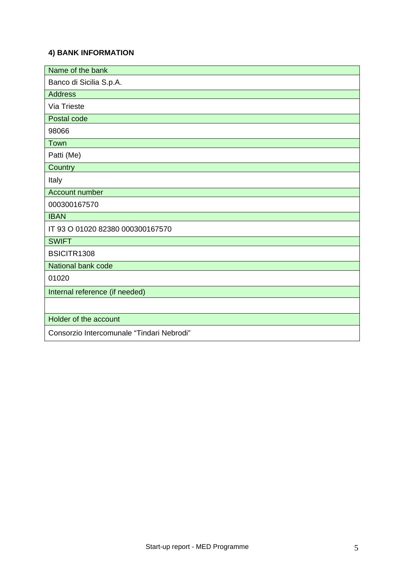#### **4) BANK INFORMATION**

| Name of the bank                          |
|-------------------------------------------|
| Banco di Sicilia S.p.A.                   |
| <b>Address</b>                            |
| Via Trieste                               |
| Postal code                               |
| 98066                                     |
| Town                                      |
| Patti (Me)                                |
| Country                                   |
| Italy                                     |
| Account number                            |
| 000300167570                              |
| <b>IBAN</b>                               |
| IT 93 O 01020 82380 000300167570          |
| <b>SWIFT</b>                              |
| BSICITR1308                               |
| National bank code                        |
| 01020                                     |
| Internal reference (if needed)            |
|                                           |
| Holder of the account                     |
| Consorzio Intercomunale "Tindari Nebrodi" |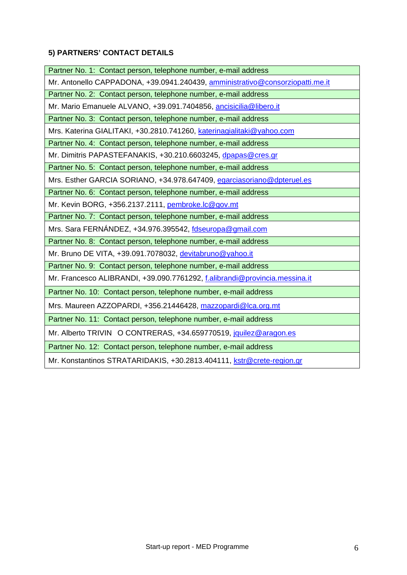## **5) PARTNERS' CONTACT DETAILS**

| Partner No. 1: Contact person, telephone number, e-mail address               |
|-------------------------------------------------------------------------------|
| Mr. Antonello CAPPADONA, +39.0941.240439, amministrativo@consorziopatti.me.it |
| Partner No. 2: Contact person, telephone number, e-mail address               |
| Mr. Mario Emanuele ALVANO, +39.091.7404856, ancisicilia@libero.it             |
| Partner No. 3: Contact person, telephone number, e-mail address               |
| Mrs. Katerina GIALITAKI, +30.2810.741260, katerinagialitaki@yahoo.com         |
| Partner No. 4: Contact person, telephone number, e-mail address               |
| Mr. Dimitris PAPASTEFANAKIS, +30.210.6603245, dpapas@cres.gr                  |
| Partner No. 5: Contact person, telephone number, e-mail address               |
| Mrs. Esther GARCIA SORIANO, +34.978.647409, egarciasoriano@dpteruel.es        |
| Partner No. 6: Contact person, telephone number, e-mail address               |
| Mr. Kevin BORG, +356.2137.2111, pembroke.lc@gov.mt                            |
| Partner No. 7: Contact person, telephone number, e-mail address               |
| Mrs. Sara FERNÁNDEZ, +34.976.395542, fdseuropa@gmail.com                      |
| Partner No. 8: Contact person, telephone number, e-mail address               |
| Mr. Bruno DE VITA, +39.091.7078032, devitabruno@yahoo.it                      |
| Partner No. 9: Contact person, telephone number, e-mail address               |
| Mr. Francesco ALIBRANDI, +39.090.7761292, f.alibrandi@provincia.messina.it    |
| Partner No. 10: Contact person, telephone number, e-mail address              |
| Mrs. Maureen AZZOPARDI, +356.21446428, mazzopardi@lca.org.mt                  |
| Partner No. 11: Contact person, telephone number, e-mail address              |
| Mr. Alberto TRIVIN O CONTRERAS, +34.659770519, jquilez@aragon.es              |
| Partner No. 12: Contact person, telephone number, e-mail address              |
| Mr. Konstantinos STRATARIDAKIS, +30.2813.404111, kstr@crete-region.gr         |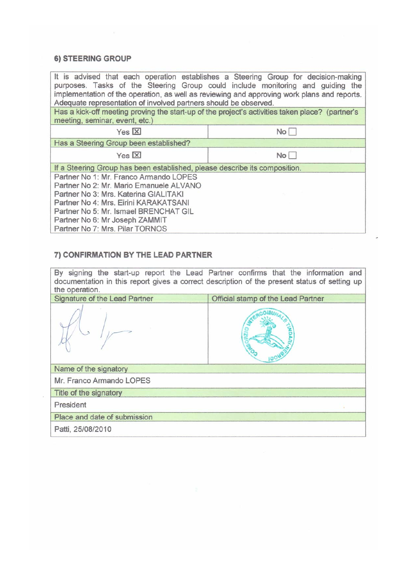#### 6) STEERING GROUP

 $\bar{z}$ 

| Adequate representation of involved partners should be observed.                                                                                                                                                                                                                  | It is advised that each operation establishes a Steering Group for decision-making<br>purposes. Tasks of the Steering Group could include monitoring and guiding the<br>implementation of the operation, as well as reviewing and approving work plans and reports. |  |  |  |
|-----------------------------------------------------------------------------------------------------------------------------------------------------------------------------------------------------------------------------------------------------------------------------------|---------------------------------------------------------------------------------------------------------------------------------------------------------------------------------------------------------------------------------------------------------------------|--|--|--|
| Has a kick-off meeting proving the start-up of the project's activities taken place? (partner's<br>meeting, seminar, event, etc.)                                                                                                                                                 |                                                                                                                                                                                                                                                                     |  |  |  |
| $Yes [\overline{X}]$                                                                                                                                                                                                                                                              | No                                                                                                                                                                                                                                                                  |  |  |  |
| Has a Steering Group been established?                                                                                                                                                                                                                                            |                                                                                                                                                                                                                                                                     |  |  |  |
| Yes $X$                                                                                                                                                                                                                                                                           | No                                                                                                                                                                                                                                                                  |  |  |  |
| If a Steering Group has been established, please describe its composition.                                                                                                                                                                                                        |                                                                                                                                                                                                                                                                     |  |  |  |
| Partner No 1: Mr. Franco Armando LOPES<br>Partner No 2: Mr. Mario Emanuele ALVANO<br>Partner No 3: Mrs. Katerina GIALITAKI<br>Partner No 4: Mrs. Eirini KARAKATSANI<br>Partner No 5: Mr. Ismael BRENCHAT GIL<br>Partner No 6: Mr Joseph ZAMMIT<br>Partner No 7: Mrs. Pilar TORNOS |                                                                                                                                                                                                                                                                     |  |  |  |

#### 7) CONFIRMATION BY THE LEAD PARTNER

By signing the start-up report the Lead Partner confirms that the information and documentation in this report gives a correct description of the present status of setting up the operation.

| Signature of the Lead Partner | Official stamp of the Lead Partner |
|-------------------------------|------------------------------------|
|                               |                                    |
| Name of the signatory         |                                    |
| Mr. Franco Armando LOPES      |                                    |
| Title of the signatory        |                                    |
| President                     |                                    |
| Place and date of submission  |                                    |
| Patti, 25/08/2010             |                                    |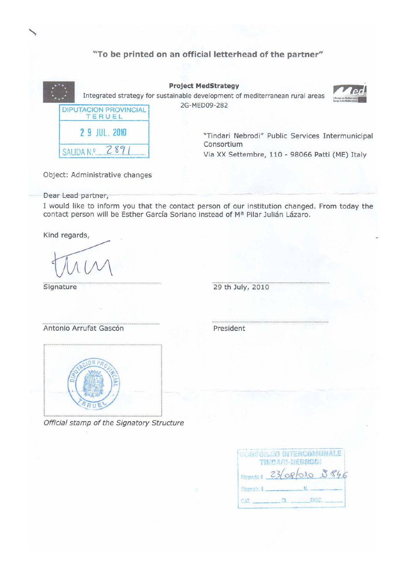|                                        | "To be printed on an official letterhead of the partner"                                                   |
|----------------------------------------|------------------------------------------------------------------------------------------------------------|
|                                        | <b>Project MedStrategy</b><br>Integrated strategy for sustainable development of mediterranean rural areas |
| <b>DIPUTACION PROVINCIAL</b><br>TERUEL | 2G-MED09-282                                                                                               |
| 2 9 JUL. 2010                          | "Tindari Nebrodi" Public Services Intermunicipal<br>Consortium                                             |
| 789                                    | Via XX Settembre, 110 - 98066 Patti (ME) Italy                                                             |
| Object: Administrative changes         |                                                                                                            |

Dear Lead partner,

I would like to inform you that the contact person of our institution changed. From today the contact person will be Esther García Soriano instead of Mª Pilar Julián Lázaro.

Kind regards,

Signature

29 th July, 2010

Antonio Arrufat Gascón

President



Official stamp of the Signatory Structure

| CONSCRIBE INTERCOMPLIMALE | TIMMARLISERROLL   |  |
|---------------------------|-------------------|--|
| Ricenson 23/08/010 5846   |                   |  |
|                           |                   |  |
|                           | <b>CHECK PASC</b> |  |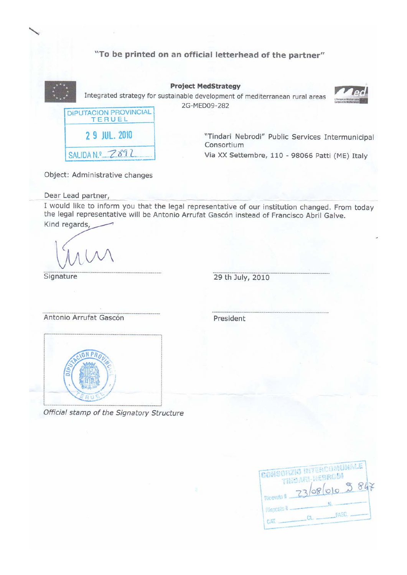#### "To be printed on an official letterhead of the partner"



Object: Administrative changes

Dear Lead partner,

I would like to inform you that the legal representative of our institution changed. From today the legal representative will be Antonio Arrufat Gascón instead of Francisco Abril Galve.

Kind regards,

Signature

29 th July, 2010

Antonio Arrufat Gascón

President



Official stamp of the Signatory Structure

|             | <b>CONSORZIO IRTERCOMUNALE</b> |  |
|-------------|--------------------------------|--|
| Ricevuto #  | TINDARI-NEBROOM<br>23/08/010 2 |  |
| Plaposto il |                                |  |